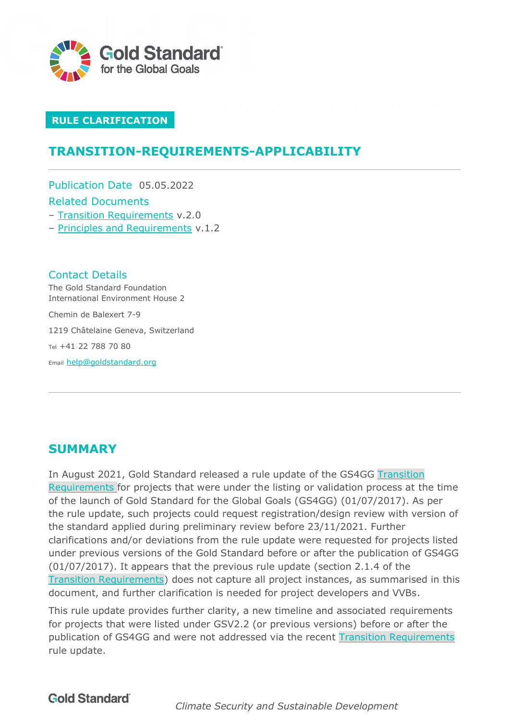

### **RULE CLARIFICATION**

# **TRANSITION-REQUIREMENTS-APPLICABILITY**

Publication Date 05.05.2022 Related Documents

- [Transition Requirements](https://globalgoals.goldstandard.org/106-par-transition-requirements/) v.2.0
- [Principles and Requirements](https://globalgoals.goldstandard.org/101-par-principles-requirements/) v.1.2

Contact Details The Gold Standard Foundation International Environment House 2

Chemin de Balexert 7-9

1219 Châtelaine Geneva, Switzerland

Tel +41 22 788 70 80

Email [help@goldstandard.org](mailto:help@goldstandard.org)

# **SUMMARY**

In August 2021, Gold Standard released a rule update of the GS4GG [Transition](https://globalgoals.goldstandard.org/106-par-transition-requirements/)  [Requirements](https://globalgoals.goldstandard.org/106-par-transition-requirements/) for projects that were under the listing or validation process at the time of the launch of Gold Standard for the Global Goals (GS4GG) (01/07/2017). As per the rule update, such projects could request registration/design review with version of the standard applied during preliminary review before 23/11/2021. Further clarifications and/or deviations from the rule update were requested for projects listed under previous versions of the Gold Standard before or after the publication of GS4GG (01/07/2017). It appears that the previous rule update (section 2.1.4 of the [Transition Requirements\)](https://globalgoals.goldstandard.org/106-par-transition-requirements/) does not capture all project instances, as summarised in this document, and further clarification is needed for project developers and VVBs.

This rule update provides further clarity, a new timeline and associated requirements for projects that were listed under GSV2.2 (or previous versions) before or after the publication of GS4GG and were not addressed via the recent [Transition Requirements](https://globalgoals.goldstandard.org/106-par-transition-requirements/) rule update.

**Gold Standard** 

*Climate Security and Sustainable Development*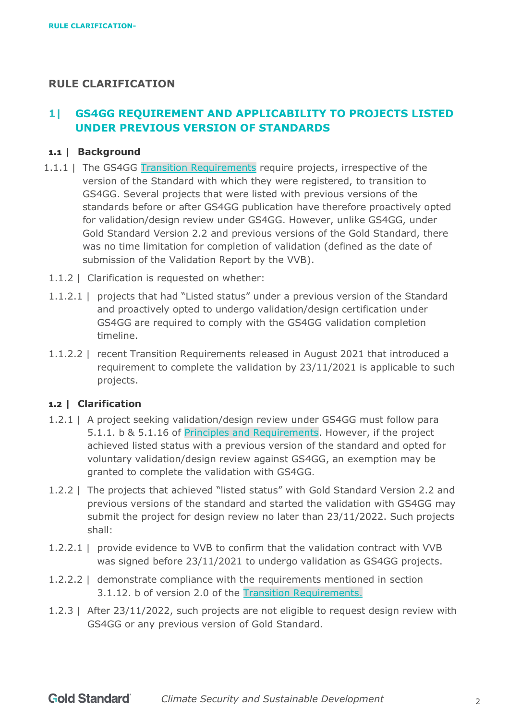## **RULE CLARIFICATION**

# **1| GS4GG REQUIREMENT AND APPLICABILITY TO PROJECTS LISTED UNDER PREVIOUS VERSION OF STANDARDS**

### **1.1 | Background**

- 1.1.1 | The GS4GG [Transition Requirements](https://globalgoals.goldstandard.org/106-par-transition-requirements/) require projects, irrespective of the version of the Standard with which they were registered, to transition to GS4GG. Several projects that were listed with previous versions of the standards before or after GS4GG publication have therefore proactively opted for validation/design review under GS4GG. However, unlike GS4GG, under Gold Standard Version 2.2 and previous versions of the Gold Standard, there was no time limitation for completion of validation (defined as the date of submission of the Validation Report by the VVB).
- 1.1.2 | Clarification is requested on whether:
- 1.1.2.1 | projects that had "Listed status" under a previous version of the Standard and proactively opted to undergo validation/design certification under GS4GG are required to comply with the GS4GG validation completion timeline.
- 1.1.2.2 | recent Transition Requirements released in August 2021 that introduced a requirement to complete the validation by 23/11/2021 is applicable to such projects.

#### **1.2 | Clarification**

- 1.2.1 | A project seeking validation/design review under GS4GG must follow para 5.1.1. b & 5.1.16 of [Principles and Requirements.](https://globalgoals.goldstandard.org/101-par-principles-requirements/) However, if the project achieved listed status with a previous version of the standard and opted for voluntary validation/design review against GS4GG, an exemption may be granted to complete the validation with GS4GG.
- 1.2.2 | The projects that achieved "listed status" with Gold Standard Version 2.2 and previous versions of the standard and started the validation with GS4GG may submit the project for design review no later than 23/11/2022. Such projects shall:
- 1.2.2.1 | provide evidence to VVB to confirm that the validation contract with VVB was signed before 23/11/2021 to undergo validation as GS4GG projects.
- 1.2.2.2 | demonstrate compliance with the requirements mentioned in section 3.1.12. b of version 2.0 of the [Transition Requirements.](https://globalgoals.goldstandard.org/106-par-transition-requirements/)
- 1.2.3 | After 23/11/2022, such projects are not eligible to request design review with GS4GG or any previous version of Gold Standard.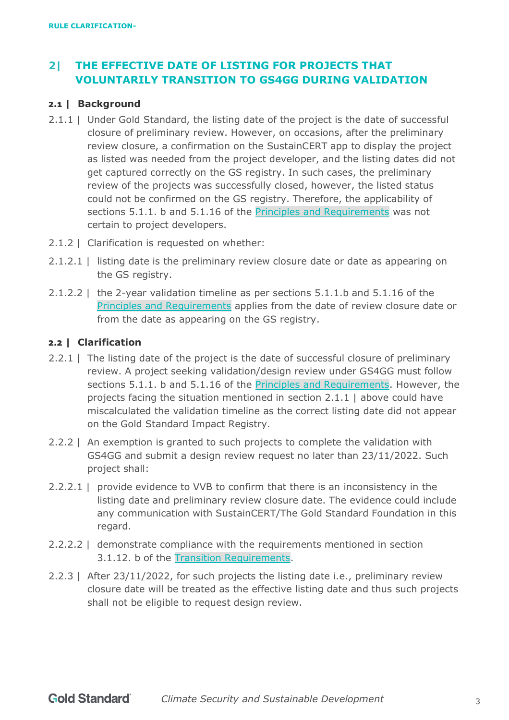# **2| THE EFFECTIVE DATE OF LISTING FOR PROJECTS THAT VOLUNTARILY TRANSITION TO GS4GG DURING VALIDATION**

#### **2.1 | Background**

- <span id="page-2-0"></span>2.1.1 | Under Gold Standard, the listing date of the project is the date of successful closure of preliminary review. However, on occasions, after the preliminary review closure, a confirmation on the SustainCERT app to display the project as listed was needed from the project developer, and the listing dates did not get captured correctly on the GS registry. In such cases, the preliminary review of the projects was successfully closed, however, the listed status could not be confirmed on the GS registry. Therefore, the applicability of sections 5.1.1. b and 5.1.16 of the [Principles and Requirements](https://globalgoals.goldstandard.org/101-par-principles-requirements/) was not certain to project developers.
- 2.1.2 | Clarification is requested on whether:
- 2.1.2.1 | listing date is the preliminary review closure date or date as appearing on the GS registry.
- 2.1.2.2 | the 2-year validation timeline as per sections 5.1.1.b and 5.1.16 of the [Principles and Requirements](https://globalgoals.goldstandard.org/101-par-principles-requirements/) applies from the date of review closure date or from the date as appearing on the GS registry.

#### **2.2 | Clarification**

- 2.2.1 | The listing date of the project is the date of successful closure of preliminary review. A project seeking validation/design review under GS4GG must follow sections 5.1.1. b and 5.1.16 of the [Principles and Requirements.](https://globalgoals.goldstandard.org/101-par-principles-requirements/) However, the projects facing the situation mentioned in section [2.1.1 |](#page-2-0) above could have miscalculated the validation timeline as the correct listing date did not appear on the Gold Standard Impact Registry.
- 2.2.2 | An exemption is granted to such projects to complete the validation with GS4GG and submit a design review request no later than 23/11/2022. Such project shall:
- 2.2.2.1 | provide evidence to VVB to confirm that there is an inconsistency in the listing date and preliminary review closure date. The evidence could include any communication with SustainCERT/The Gold Standard Foundation in this regard.
- 2.2.2.2 | demonstrate compliance with the requirements mentioned in section 3.1.12. b of the [Transition Requirements.](https://globalgoals.goldstandard.org/106-par-transition-requirements/)
- 2.2.3 | After 23/11/2022, for such projects the listing date i.e., preliminary review closure date will be treated as the effective listing date and thus such projects shall not be eligible to request design review.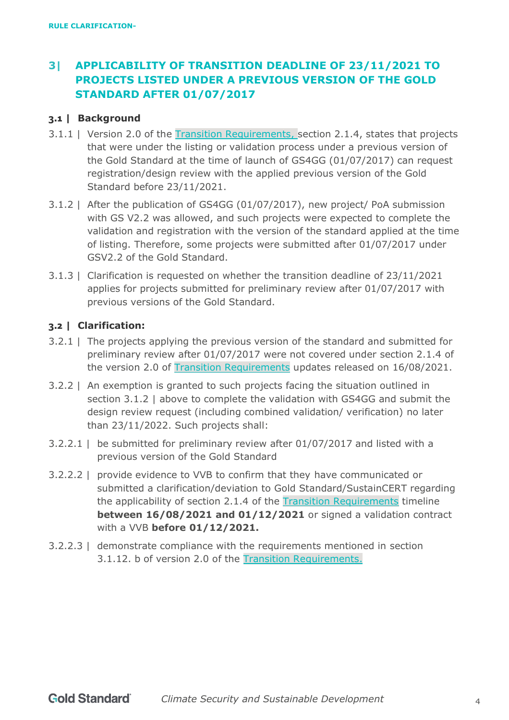# **3| APPLICABILITY OF TRANSITION DEADLINE OF 23/11/2021 TO PROJECTS LISTED UNDER A PREVIOUS VERSION OF THE GOLD STANDARD AFTER 01/07/2017**

### **3.1 | Background**

- 3.1.1 | Version 2.0 of the [Transition Requirements,](https://globalgoals.goldstandard.org/106-par-transition-requirements/) section 2.1.4, states that projects that were under the listing or validation process under a previous version of the Gold Standard at the time of launch of GS4GG (01/07/2017) can request registration/design review with the applied previous version of the Gold Standard before 23/11/2021.
- <span id="page-3-0"></span>3.1.2 | After the publication of GS4GG (01/07/2017), new project/ PoA submission with GS V2.2 was allowed, and such projects were expected to complete the validation and registration with the version of the standard applied at the time of listing. Therefore, some projects were submitted after 01/07/2017 under GSV2.2 of the Gold Standard.
- 3.1.3 | Clarification is requested on whether the transition deadline of 23/11/2021 applies for projects submitted for preliminary review after 01/07/2017 with previous versions of the Gold Standard.

#### **3.2 | Clarification:**

- 3.2.1 | The projects applying the previous version of the standard and submitted for preliminary review after 01/07/2017 were not covered under section 2.1.4 of the version 2.0 of **Transition Requirements** updates released on 16/08/2021.
- 3.2.2 | An exemption is granted to such projects facing the situation outlined in section [3.1.2 |](#page-3-0) above to complete the validation with GS4GG and submit the design review request (including combined validation/ verification) no later than 23/11/2022. Such projects shall:
- 3.2.2.1 | be submitted for preliminary review after 01/07/2017 and listed with a previous version of the Gold Standard
- 3.2.2.2 | provide evidence to VVB to confirm that they have communicated or submitted a clarification/deviation to Gold Standard/SustainCERT regarding the applicability of section 2.1.4 of the [Transition Requirements](https://globalgoals.goldstandard.org/106-par-transition-requirements/) timeline **between 16/08/2021 and 01/12/2021** or signed a validation contract with a VVB **before 01/12/2021.**
- 3.2.2.3 | demonstrate compliance with the requirements mentioned in section 3.1.12. b of version 2.0 of the [Transition Requirements.](https://globalgoals.goldstandard.org/106-par-transition-requirements/)